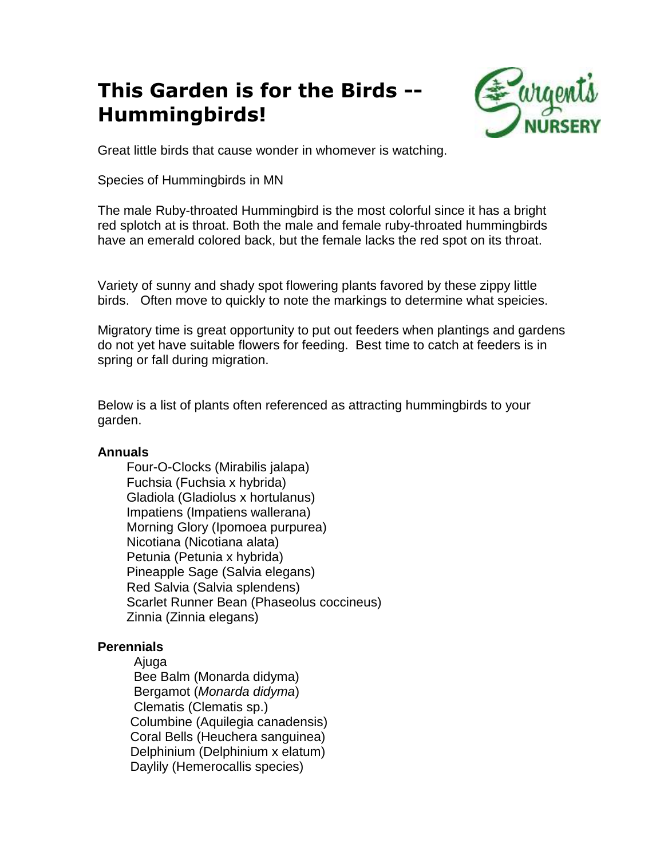## **This Garden is for the Birds -- Hummingbirds!**



Great little birds that cause wonder in whomever is watching.

Species of Hummingbirds in MN

The male Ruby-throated Hummingbird is the most colorful since it has a bright red splotch at is throat. Both the male and female ruby-throated hummingbirds have an emerald colored back, but the female lacks the red spot on its throat.

Variety of sunny and shady spot flowering plants favored by these zippy little birds. Often move to quickly to note the markings to determine what speicies.

Migratory time is great opportunity to put out feeders when plantings and gardens do not yet have suitable flowers for feeding. Best time to catch at feeders is in spring or fall during migration.

Below is a list of plants often referenced as attracting hummingbirds to your garden.

## **Annuals**

 Four-O-Clocks (Mirabilis jalapa) Fuchsia (Fuchsia x hybrida) Gladiola (Gladiolus x hortulanus) Impatiens (Impatiens wallerana) Morning Glory (Ipomoea purpurea) Nicotiana (Nicotiana alata) Petunia (Petunia x hybrida) Pineapple Sage (Salvia elegans) Red Salvia (Salvia splendens) Scarlet Runner Bean (Phaseolus coccineus) Zinnia (Zinnia elegans)

## **Perennials**

 Ajuga Bee Balm (Monarda didyma) Bergamot (*Monarda didyma*) Clematis (Clematis sp.) Columbine (Aquilegia canadensis) Coral Bells (Heuchera sanguinea) Delphinium (Delphinium x elatum) Daylily (Hemerocallis species)